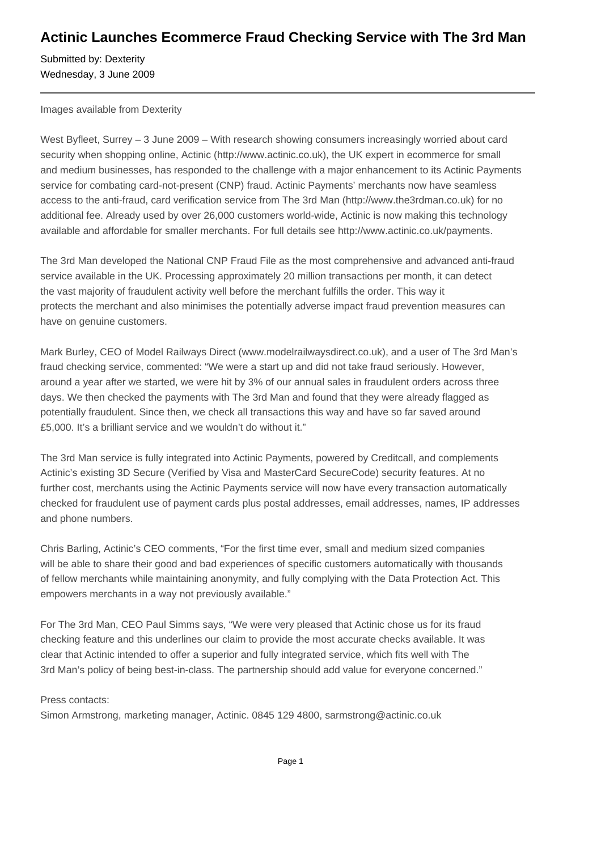## **Actinic Launches Ecommerce Fraud Checking Service with The 3rd Man**

Submitted by: Dexterity Wednesday, 3 June 2009

Images available from Dexterity

West Byfleet, Surrey - 3 June 2009 - With research showing consumers increasingly worried about card security when shopping online, Actinic (http://www.actinic.co.uk), the UK expert in ecommerce for small and medium businesses, has responded to the challenge with a major enhancement to its Actinic Payments service for combating card-not-present (CNP) fraud. Actinic Payments' merchants now have seamless access to the anti-fraud, card verification service from The 3rd Man (http://www.the3rdman.co.uk) for no additional fee. Already used by over 26,000 customers world-wide, Actinic is now making this technology available and affordable for smaller merchants. For full details see http://www.actinic.co.uk/payments.

The 3rd Man developed the National CNP Fraud File as the most comprehensive and advanced anti-fraud service available in the UK. Processing approximately 20 million transactions per month, it can detect the vast majority of fraudulent activity well before the merchant fulfills the order. This way it protects the merchant and also minimises the potentially adverse impact fraud prevention measures can have on genuine customers.

Mark Burley, CEO of Model Railways Direct (www.modelrailwaysdirect.co.uk), and a user of The 3rd Man's fraud checking service, commented: "We were a start up and did not take fraud seriously. However, around a year after we started, we were hit by 3% of our annual sales in fraudulent orders across three days. We then checked the payments with The 3rd Man and found that they were already flagged as potentially fraudulent. Since then, we check all transactions this way and have so far saved around £5,000. It's a brilliant service and we wouldn't do without it."

The 3rd Man service is fully integrated into Actinic Payments, powered by Creditcall, and complements Actinic's existing 3D Secure (Verified by Visa and MasterCard SecureCode) security features. At no further cost, merchants using the Actinic Payments service will now have every transaction automatically checked for fraudulent use of payment cards plus postal addresses, email addresses, names, IP addresses and phone numbers.

Chris Barling, Actinic's CEO comments, "For the first time ever, small and medium sized companies will be able to share their good and bad experiences of specific customers automatically with thousands of fellow merchants while maintaining anonymity, and fully complying with the Data Protection Act. This empowers merchants in a way not previously available."

For The 3rd Man, CEO Paul Simms says, "We were very pleased that Actinic chose us for its fraud checking feature and this underlines our claim to provide the most accurate checks available. It was clear that Actinic intended to offer a superior and fully integrated service, which fits well with The 3rd Man's policy of being best-in-class. The partnership should add value for everyone concerned."

Press contacts:

Simon Armstrong, marketing manager, Actinic. 0845 129 4800, sarmstrong@actinic.co.uk